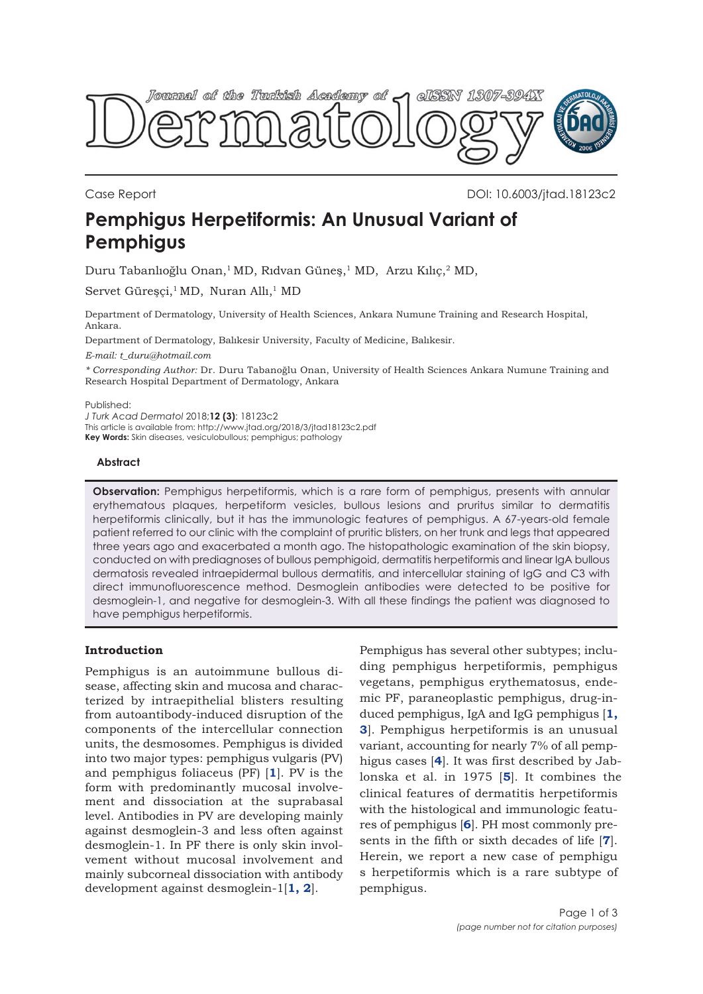

Case Report DOI: 10.6003/jtad.18123c2

# **Pemphigus Herpetiformis: An Unusual Variant of Pemphigus**

Duru Tabanlıoğlu Onan,1 MD, Rıdvan Güneş,1 MD, Arzu Kılıç,2 MD,

Servet Güreşçi,<sup>1</sup> MD, Nuran Allı,<sup>1</sup> MD

Department of Dermatology, University of Health Sciences, Ankara Numune Training and Research Hospital, Ankara.

Department of Dermatology, Balıkesir University, Faculty of Medicine, Balıkesir.

*E-mail: t\_duru@hotmail.com*

*\* Corresponding Author:* Dr. Duru Tabanoğlu Onan, University of Health Sciences Ankara Numune Training and Research Hospital Department of Dermatology, Ankara

Published:

*J Turk Acad Dermatol* 2018;**12 (3)**: 18123c2 This article is available from: http://www.jtad.org/2018/3/jtad18123c2.pdf **Key Words:** Skin diseases, vesiculobullous; pemphigus; pathology

## **Abstract**

**Observation:** Pemphigus herpetiformis, which is a rare form of pemphigus, presents with annular erythematous plaques, herpetiform vesicles, bullous lesions and pruritus similar to dermatitis herpetiformis clinically, but it has the immunologic features of pemphigus. A 67-years-old female patient referred to our clinic with the complaint of pruritic blisters, on her trunk and legs that appeared three years ago and exacerbated a month ago. The histopathologic examination of the skin biopsy, conducted on with prediagnoses of bullous pemphigoid, dermatitis herpetiformis and linear IgA bullous dermatosis revealed intraepidermal bullous dermatitis, and intercellular staining of IgG and C3 with direct immunofluorescence method. Desmoglein antibodies were detected to be positive for desmoglein-1, and negative for desmoglein-3. With all these findings the patient was diagnosed to have pemphigus herpetiformis.

# **Introduction**

Pemphigus is an autoimmune bullous disease, affecting skin and mucosa and characterized by intraepithelial blisters resulting from autoantibody-induced disruption of the components of the intercellular connection units, the desmosomes. Pemphigus is divided into two major types: pemphigus vulgaris (PV) and pemphigus foliaceus (PF) [**[1](#page-2-0)**]. PV is the form with predominantly mucosal involvement and dissociation at the suprabasal level. Antibodies in PV are developing mainly against desmoglein-3 and less often against desmoglein-1. In PF there is only skin involvement without mucosal involvement and mainly subcorneal dissociation with antibody development against desmoglein-1[**[1, 2](#page-2-0)**].

Pemphigus has several other subtypes; including pemphigus herpetiformis, pemphigus vegetans, pemphigus erythematosus, endemic PF, paraneoplastic pemphigus, drug-induced pemphigus, IgA and IgG pemphigus [**[1,](#page-2-0) [3](#page-2-0)**]. Pemphigus herpetiformis is an unusual variant, accounting for nearly 7% of all pemphigus cases [**[4](#page-2-0)**]. It was first described by Jablonska et al. in 1975 [**[5](#page-2-0)**]. It combines the clinical features of dermatitis herpetiformis with the histological and immunologic features of pemphigus [**[6](#page-2-0)**]. PH most commonly presents in the fifth or sixth decades of life [**[7](#page-2-0)**]. Herein, we report a new case of pemphigu s herpetiformis which is a rare subtype of pemphigus.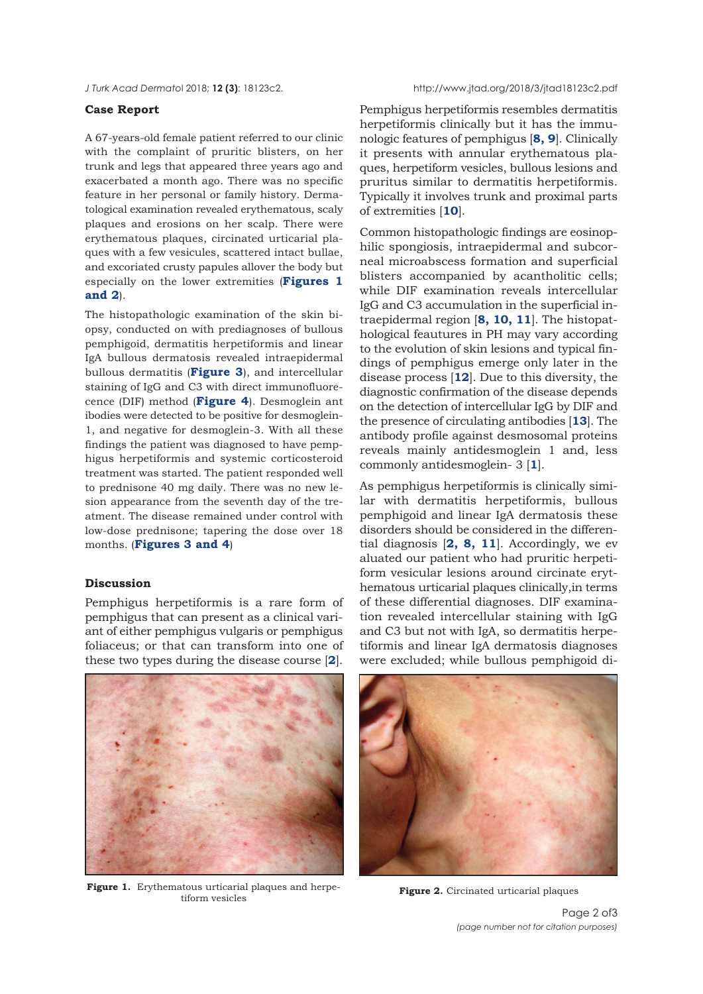#### **Case Report**

A 67-years-old female patient referred to our clinic with the complaint of pruritic blisters, on her trunk and legs that appeared three years ago and exacerbated a month ago. There was no specific feature in her personal or family history. Dermatological examination revealed erythematous, scaly plaques and erosions on her scalp. There were erythematous plaques, circinated urticarial plaques with a few vesicules, scattered intact bullae, and excoriated crusty papules allover the body but especially on the lower extremities (**Figures 1 and 2**).

The histopathologic examination of the skin biopsy, conducted on with prediagnoses of bullous pemphigoid, dermatitis herpetiformis and linear IgA bullous dermatosis revealed intraepidermal bullous dermatitis (**[Figure 3](#page-2-0)**), and intercellular staining of IgG and C3 with direct immunofluorecence (DIF) method (**[Figure 4](#page-2-0)**). Desmoglein ant ibodies were detected to be positive for desmoglein-1, and negative for desmoglein-3. With all these findings the patient was diagnosed to have pemphigus herpetiformis and systemic corticosteroid treatment was started. The patient responded well to prednisone 40 mg daily. There was no new lesion appearance from the seventh day of the treatment. The disease remained under control with low-dose prednisone; tapering the dose over 18 months. (**[Figures 3](#page-2-0) [and 4](#page-2-0)**)

### **Discussion**

Pemphigus herpetiformis is a rare form of pemphigus that can present as a clinical variant of either pemphigus vulgaris or pemphigus foliaceus; or that can transform into one of these two types during the disease course [**[2](#page-2-0)**].



**Figure 1.** Erythematous urticarial plaques and herpeatous urticarial plaques and herpe-<br>tiform vesicles<br>**Figure 2.** Circinated urticarial plaques

Pemphigus herpetiformis resembles dermatitis herpetiformis clinically but it has the immunologic features of pemphigus [**[8, 9](#page-2-0)**]. Clinically it presents with annular erythematous plaques, herpetiform vesicles, bullous lesions and pruritus similar to dermatitis herpetiformis. Typically it involves trunk and proximal parts of extremities [**[10](#page-2-0)**].

Common histopathologic findings are eosinophilic spongiosis, intraepidermal and subcorneal microabscess formation and superficial blisters accompanied by acantholitic cells; while DIF examination reveals intercellular IgG and C3 accumulation in the superficial intraepidermal region [**[8](#page-2-0), [10, 11](#page-2-0)**]. The histopathological feautures in PH may vary according to the evolution of skin lesions and typical findings of pemphigus emerge only later in the disease process [**[12](#page-2-0)**]. Due to this diversity, the diagnostic confirmation of the disease depends on the detection of intercellular IgG by DIF and the presence of circulating antibodies [**[13](#page-2-0)**]. The antibody profile against desmosomal proteins reveals mainly antidesmoglein 1 and, less commonly antidesmoglein- 3 [**[1](#page-2-0)**].

As pemphigus herpetiformis is clinically similar with dermatitis herpetiformis, bullous pemphigoid and linear IgA dermatosis these disorders should be considered in the differential diagnosis [**[2,](#page-2-0) [8](#page-2-0), [11](#page-2-0)**]. Accordingly, we ev aluated our patient who had pruritic herpetiform vesicular lesions around circinate erythematous urticarial plaques clinically,in terms of these differential diagnoses. DIF examination revealed intercellular staining with IgG and C3 but not with IgA, so dermatitis herpetiformis and linear IgA dermatosis diagnoses were excluded; while bullous pemphigoid di-



Page 2 of3 *(page number not for citation purposes)*